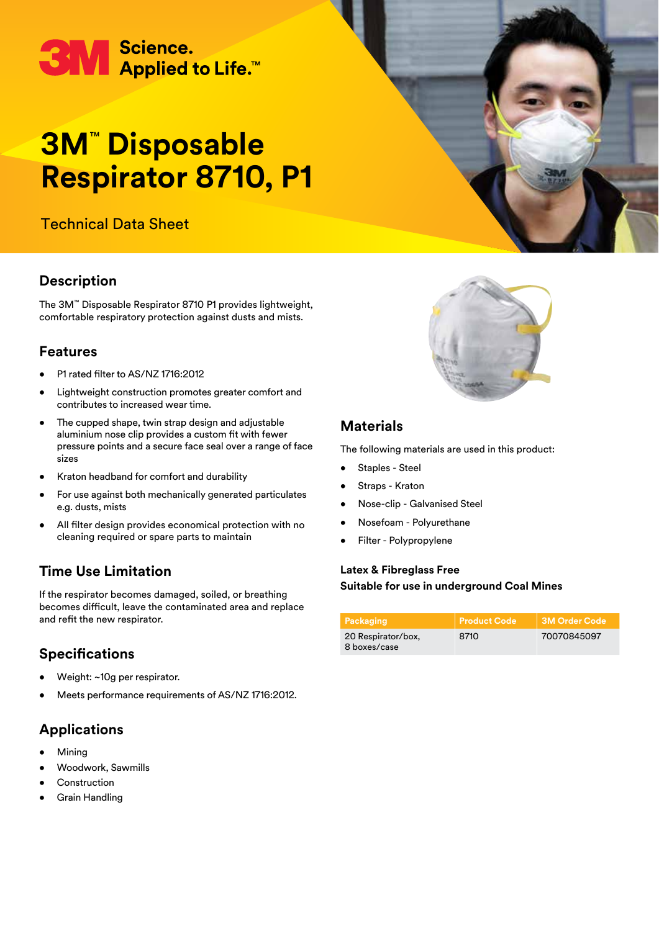# **3M** Science.<br>Applied to Life.™

## **3M**™  **Disposable Respirator 8710, P1**

## Technical Data Sheet

### **Description**

The 3M™ Disposable Respirator 8710 P1 provides lightweight, comfortable respiratory protection against dusts and mists.

#### **Features**

- P1 rated filter to AS/NZ 1716:2012
- Lightweight construction promotes greater comfort and contributes to increased wear time.
- The cupped shape, twin strap design and adjustable aluminium nose clip provides a custom fit with fewer pressure points and a secure face seal over a range of face sizes
- Kraton headband for comfort and durability
- For use against both mechanically generated particulates e.g. dusts, mists
- All filter design provides economical protection with no cleaning required or spare parts to maintain

### **Time Use Limitation**

If the respirator becomes damaged, soiled, or breathing becomes difficult, leave the contaminated area and replace and refit the new respirator.

### **Specifications**

- Weight: ~10g per respirator.
- Meets performance requirements of AS/NZ 1716:2012.

### **Applications**

- **Mining**
- Woodwork, Sawmills
- **Construction**
- Grain Handling



#### **Materials**

The following materials are used in this product:

- Staples Steel
- Straps Kraton
- Nose-clip Galvanised Steel
- Nosefoam Polyurethane
- Filter Polypropylene

#### **Latex & Fibreglass Free Suitable for use in underground Coal Mines**

| Packaging                          | l Product Code <sup>l</sup> | 3M Order Code |
|------------------------------------|-----------------------------|---------------|
| 20 Respirator/box,<br>8 boxes/case | 8710                        | 70070845097   |